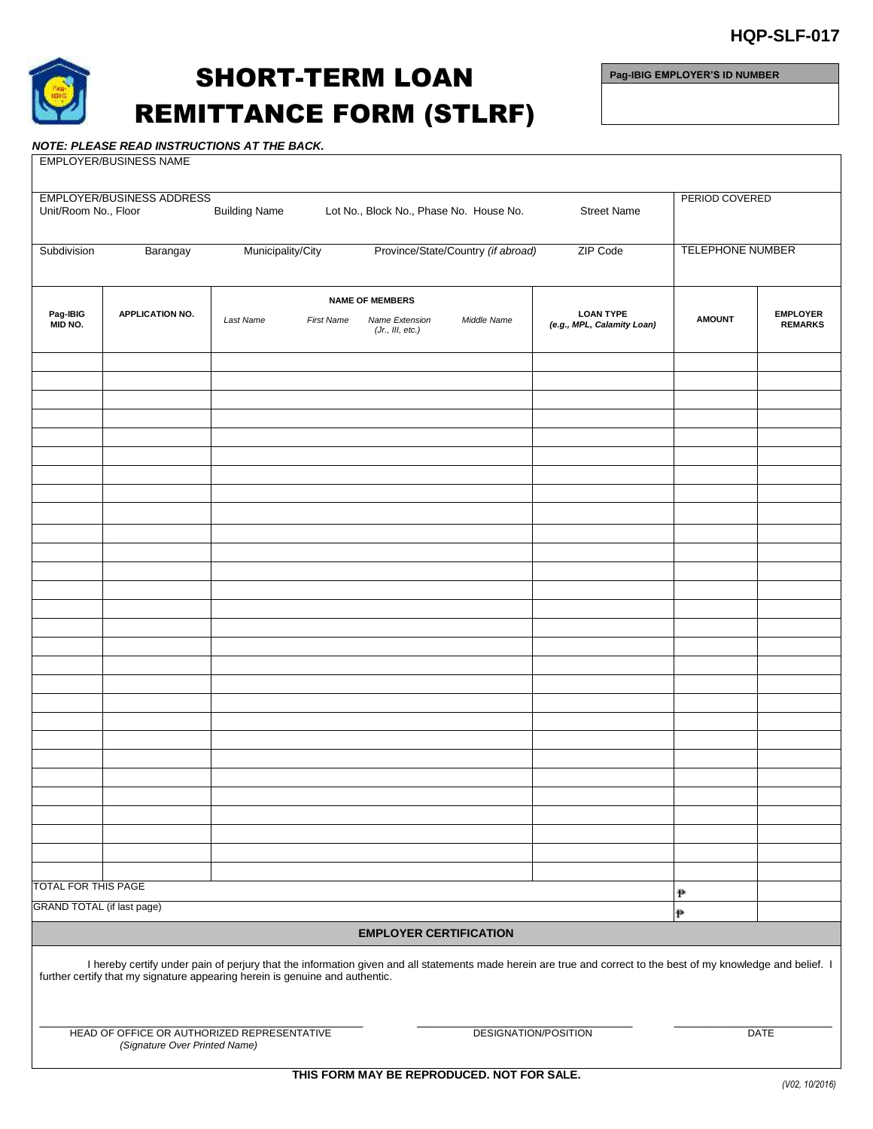



## SHORT-TERM LOAN REMITTANCE FORM (STLRF)

**Pag-IBIG EMPLOYER'S ID NUMBER**

## *NOTE: PLEASE READ INSTRUCTIONS AT THE BACK.*

| EMPLOYER/BUSINESS NAME                                                                                                                                                                                                                                                                                                                |                                  |                      |                                         |                                                              |                                    |                                                |                         |                                   |  |  |  |
|---------------------------------------------------------------------------------------------------------------------------------------------------------------------------------------------------------------------------------------------------------------------------------------------------------------------------------------|----------------------------------|----------------------|-----------------------------------------|--------------------------------------------------------------|------------------------------------|------------------------------------------------|-------------------------|-----------------------------------|--|--|--|
| Unit/Room No., Floor                                                                                                                                                                                                                                                                                                                  | <b>EMPLOYER/BUSINESS ADDRESS</b> | <b>Building Name</b> | Lot No., Block No., Phase No. House No. |                                                              | <b>Street Name</b>                 | PERIOD COVERED                                 |                         |                                   |  |  |  |
| Subdivision                                                                                                                                                                                                                                                                                                                           | Barangay                         | Municipality/City    |                                         |                                                              | Province/State/Country (if abroad) | ZIP Code                                       | <b>TELEPHONE NUMBER</b> |                                   |  |  |  |
| Pag-IBIG<br>MID NO.                                                                                                                                                                                                                                                                                                                   | <b>APPLICATION NO.</b>           | Last Name            | <b>First Name</b>                       | <b>NAME OF MEMBERS</b><br>Name Extension<br>(Jr., III, etc.) | Middle Name                        | <b>LOAN TYPE</b><br>(e.g., MPL, Calamity Loan) | <b>AMOUNT</b>           | <b>EMPLOYER</b><br><b>REMARKS</b> |  |  |  |
|                                                                                                                                                                                                                                                                                                                                       |                                  |                      |                                         |                                                              |                                    |                                                |                         |                                   |  |  |  |
|                                                                                                                                                                                                                                                                                                                                       |                                  |                      |                                         |                                                              |                                    |                                                |                         |                                   |  |  |  |
|                                                                                                                                                                                                                                                                                                                                       |                                  |                      |                                         |                                                              |                                    |                                                |                         |                                   |  |  |  |
|                                                                                                                                                                                                                                                                                                                                       |                                  |                      |                                         |                                                              |                                    |                                                |                         |                                   |  |  |  |
|                                                                                                                                                                                                                                                                                                                                       |                                  |                      |                                         |                                                              |                                    |                                                |                         |                                   |  |  |  |
|                                                                                                                                                                                                                                                                                                                                       |                                  |                      |                                         |                                                              |                                    |                                                |                         |                                   |  |  |  |
|                                                                                                                                                                                                                                                                                                                                       |                                  |                      |                                         |                                                              |                                    |                                                |                         |                                   |  |  |  |
|                                                                                                                                                                                                                                                                                                                                       |                                  |                      |                                         |                                                              |                                    |                                                |                         |                                   |  |  |  |
|                                                                                                                                                                                                                                                                                                                                       |                                  |                      |                                         |                                                              |                                    |                                                |                         |                                   |  |  |  |
|                                                                                                                                                                                                                                                                                                                                       |                                  |                      |                                         |                                                              |                                    |                                                |                         |                                   |  |  |  |
|                                                                                                                                                                                                                                                                                                                                       |                                  |                      |                                         |                                                              |                                    |                                                |                         |                                   |  |  |  |
|                                                                                                                                                                                                                                                                                                                                       |                                  |                      |                                         |                                                              |                                    |                                                |                         |                                   |  |  |  |
|                                                                                                                                                                                                                                                                                                                                       |                                  |                      |                                         |                                                              |                                    |                                                |                         |                                   |  |  |  |
|                                                                                                                                                                                                                                                                                                                                       |                                  |                      |                                         |                                                              |                                    |                                                |                         |                                   |  |  |  |
|                                                                                                                                                                                                                                                                                                                                       |                                  |                      |                                         |                                                              |                                    |                                                |                         |                                   |  |  |  |
|                                                                                                                                                                                                                                                                                                                                       |                                  |                      |                                         |                                                              |                                    |                                                |                         |                                   |  |  |  |
|                                                                                                                                                                                                                                                                                                                                       |                                  |                      |                                         |                                                              |                                    |                                                |                         |                                   |  |  |  |
|                                                                                                                                                                                                                                                                                                                                       |                                  |                      |                                         |                                                              |                                    |                                                |                         |                                   |  |  |  |
|                                                                                                                                                                                                                                                                                                                                       |                                  |                      |                                         |                                                              |                                    |                                                |                         |                                   |  |  |  |
|                                                                                                                                                                                                                                                                                                                                       |                                  |                      |                                         |                                                              |                                    |                                                |                         |                                   |  |  |  |
|                                                                                                                                                                                                                                                                                                                                       |                                  |                      |                                         |                                                              |                                    |                                                |                         |                                   |  |  |  |
|                                                                                                                                                                                                                                                                                                                                       |                                  |                      |                                         |                                                              |                                    |                                                |                         |                                   |  |  |  |
|                                                                                                                                                                                                                                                                                                                                       |                                  |                      |                                         |                                                              |                                    |                                                |                         |                                   |  |  |  |
|                                                                                                                                                                                                                                                                                                                                       |                                  |                      |                                         |                                                              |                                    |                                                |                         |                                   |  |  |  |
|                                                                                                                                                                                                                                                                                                                                       |                                  |                      |                                         |                                                              |                                    |                                                |                         |                                   |  |  |  |
| <b>TOTAL FOR THIS PAGE</b>                                                                                                                                                                                                                                                                                                            |                                  |                      |                                         |                                                              |                                    |                                                | P                       |                                   |  |  |  |
| <b>GRAND TOTAL (if last page)</b>                                                                                                                                                                                                                                                                                                     |                                  |                      |                                         |                                                              |                                    | $\mathbf P$                                    |                         |                                   |  |  |  |
| <b>EMPLOYER CERTIFICATION</b>                                                                                                                                                                                                                                                                                                         |                                  |                      |                                         |                                                              |                                    |                                                |                         |                                   |  |  |  |
| I hereby certify under pain of perjury that the information given and all statements made herein are true and correct to the best of my knowledge and belief. I<br>further certify that my signature appearing herein is genuine and authentic.<br>HEAD OF OFFICE OR AUTHORIZED REPRESENTATIVE<br>DESIGNATION/POSITION<br><b>DATE</b> |                                  |                      |                                         |                                                              |                                    |                                                |                         |                                   |  |  |  |
| (Signature Over Printed Name)                                                                                                                                                                                                                                                                                                         |                                  |                      |                                         |                                                              |                                    |                                                |                         |                                   |  |  |  |